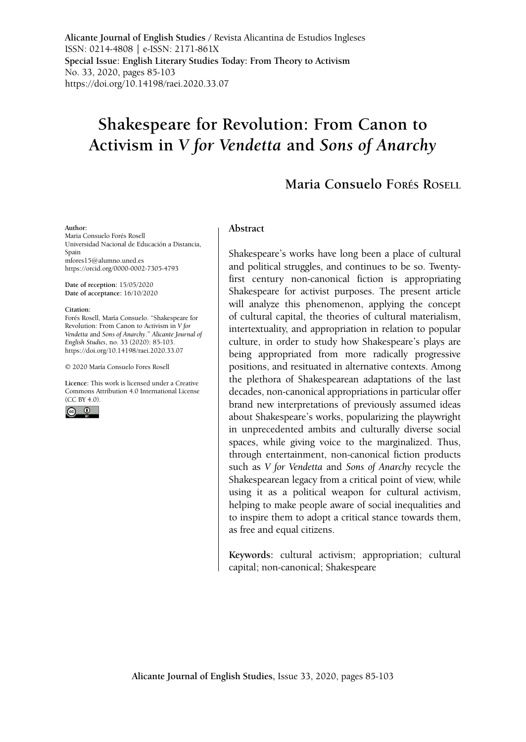**Alicante Journal of English Studies /** Revista Alicantina de Estudios Ingleses ISSN: 0214-4808 | e-ISSN: 2171-861X **Special Issue: English Literary Studies Today: From Theory to Activism** No. 33, 2020, pages 85-103 <https://doi.org/10.14198/raei.2020.33.07>

# **Shakespeare for Revolution: From Canon to Activism in** *V for Vendetta* **and** *Sons of Anarchy*

# **Maria Consuelo Forés Rosell**

#### **Author:**

Maria Consuelo Forés Rosell Universidad Nacional de Educación a Distancia, Spain [mfores15@alumno.uned.es](mailto:mfores15@alumno.uned.es) <https://orcid.org/0000-0002-7305-4793>

**Date of reception:** 15/05/2020 **Date of acceptance:** 16/10/2020

**Citation:**

Forés Rosell, María Consuelo. "Shakespeare for Revolution: From Canon to Activism in *V for Vendetta* and *Sons of Anarchy*." *Alicante Journal of English Studies*, no. 33 (2020): 85-103. <https://doi.org/10.14198/raei.2020.33.07>

© 2020 María Consuelo Fores Rosell

**Licence:** [This work is licensed under a Creative](https://creativecommons.org/licenses/by/4.0/)  [Commons Attribution 4.0 International License](https://creativecommons.org/licenses/by/4.0/)  [\(CC BY 4.0\).](https://creativecommons.org/licenses/by/4.0/)



#### **Abstract**

Shakespeare's works have long been a place of cultural and political struggles, and continues to be so. Twentyfirst century non-canonical fiction is appropriating Shakespeare for activist purposes. The present article will analyze this phenomenon, applying the concept of cultural capital, the theories of cultural materialism, intertextuality, and appropriation in relation to popular culture, in order to study how Shakespeare's plays are being appropriated from more radically progressive positions, and resituated in alternative contexts. Among the plethora of Shakespearean adaptations of the last decades, non-canonical appropriations in particular offer brand new interpretations of previously assumed ideas about Shakespeare's works, popularizing the playwright in unprecedented ambits and culturally diverse social spaces, while giving voice to the marginalized. Thus, through entertainment, non-canonical fiction products such as *V for Vendetta* and *Sons of Anarchy* recycle the Shakespearean legacy from a critical point of view, while using it as a political weapon for cultural activism, helping to make people aware of social inequalities and to inspire them to adopt a critical stance towards them, as free and equal citizens.

**Keywords:** cultural activism; appropriation; cultural capital; non-canonical; Shakespeare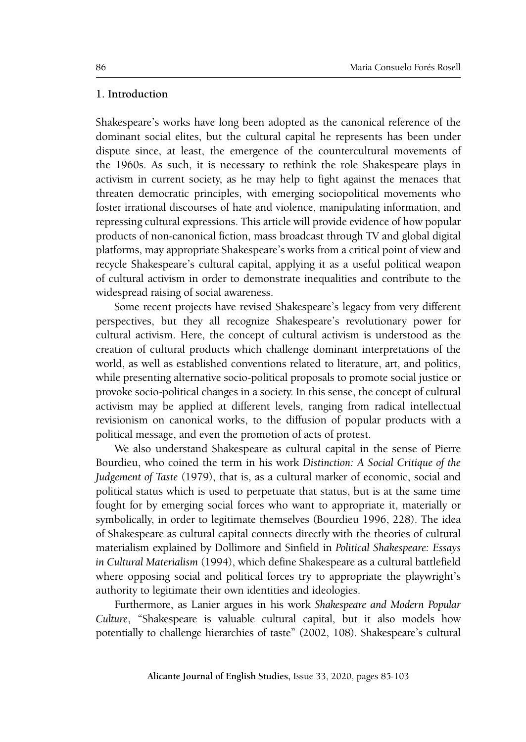# **1. Introduction**

Shakespeare's works have long been adopted as the canonical reference of the dominant social elites, but the cultural capital he represents has been under dispute since, at least, the emergence of the countercultural movements of the 1960s. As such, it is necessary to rethink the role Shakespeare plays in activism in current society, as he may help to fight against the menaces that threaten democratic principles, with emerging sociopolitical movements who foster irrational discourses of hate and violence, manipulating information, and repressing cultural expressions. This article will provide evidence of how popular products of non-canonical fiction, mass broadcast through TV and global digital platforms, may appropriate Shakespeare's works from a critical point of view and recycle Shakespeare's cultural capital, applying it as a useful political weapon of cultural activism in order to demonstrate inequalities and contribute to the widespread raising of social awareness.

Some recent projects have revised Shakespeare's legacy from very different perspectives, but they all recognize Shakespeare's revolutionary power for cultural activism. Here, the concept of cultural activism is understood as the creation of cultural products which challenge dominant interpretations of the world, as well as established conventions related to literature, art, and politics, while presenting alternative socio-political proposals to promote social justice or provoke socio-political changes in a society. In this sense, the concept of cultural activism may be applied at different levels, ranging from radical intellectual revisionism on canonical works, to the diffusion of popular products with a political message, and even the promotion of acts of protest.

We also understand Shakespeare as cultural capital in the sense of Pierre Bourdieu, who coined the term in his work *Distinction: A Social Critique of the Judgement of Taste* (1979), that is, as a cultural marker of economic, social and political status which is used to perpetuate that status, but is at the same time fought for by emerging social forces who want to appropriate it, materially or symbolically, in order to legitimate themselves (Bourdieu 1996, 228). The idea of Shakespeare as cultural capital connects directly with the theories of cultural materialism explained by Dollimore and Sinfield in *Political Shakespeare: Essays in Cultural Materialism* (1994), which define Shakespeare as a cultural battlefield where opposing social and political forces try to appropriate the playwright's authority to legitimate their own identities and ideologies.

Furthermore, as Lanier argues in his work *Shakespeare and Modern Popular Culture*, "Shakespeare is valuable cultural capital, but it also models how potentially to challenge hierarchies of taste" (2002, 108). Shakespeare's cultural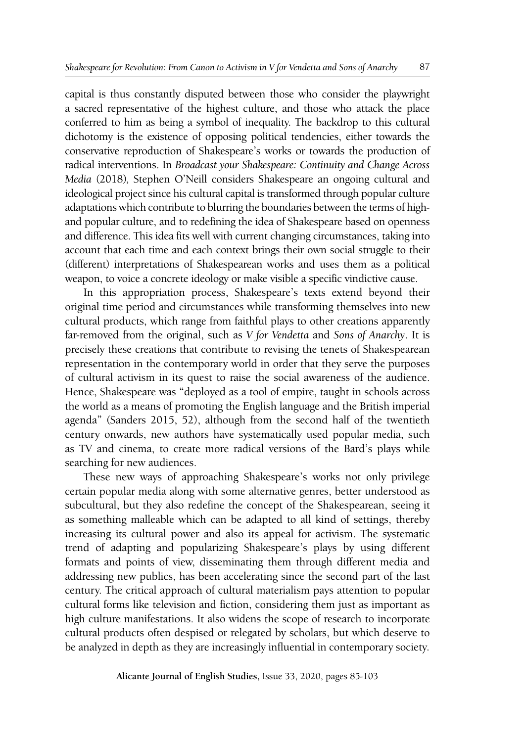capital is thus constantly disputed between those who consider the playwright a sacred representative of the highest culture, and those who attack the place conferred to him as being a symbol of inequality. The backdrop to this cultural dichotomy is the existence of opposing political tendencies, either towards the conservative reproduction of Shakespeare's works or towards the production of radical interventions. In *Broadcast your Shakespeare: Continuity and Change Across Media* (2018)*,* Stephen O'Neill considers Shakespeare an ongoing cultural and ideological project since his cultural capital is transformed through popular culture adaptations which contribute to blurring the boundaries between the terms of highand popular culture, and to redefining the idea of Shakespeare based on openness and difference. This idea fits well with current changing circumstances, taking into account that each time and each context brings their own social struggle to their (different) interpretations of Shakespearean works and uses them as a political weapon, to voice a concrete ideology or make visible a specific vindictive cause.

In this appropriation process, Shakespeare's texts extend beyond their original time period and circumstances while transforming themselves into new cultural products, which range from faithful plays to other creations apparently far-removed from the original, such as *V for Vendetta* and *Sons of Anarchy*. It is precisely these creations that contribute to revising the tenets of Shakespearean representation in the contemporary world in order that they serve the purposes of cultural activism in its quest to raise the social awareness of the audience. Hence, Shakespeare was "deployed as a tool of empire, taught in schools across the world as a means of promoting the English language and the British imperial agenda" (Sanders 2015, 52), although from the second half of the twentieth century onwards, new authors have systematically used popular media, such as TV and cinema, to create more radical versions of the Bard's plays while searching for new audiences.

These new ways of approaching Shakespeare's works not only privilege certain popular media along with some alternative genres, better understood as subcultural, but they also redefine the concept of the Shakespearean, seeing it as something malleable which can be adapted to all kind of settings, thereby increasing its cultural power and also its appeal for activism. The systematic trend of adapting and popularizing Shakespeare's plays by using different formats and points of view, disseminating them through different media and addressing new publics, has been accelerating since the second part of the last century. The critical approach of cultural materialism pays attention to popular cultural forms like television and fiction, considering them just as important as high culture manifestations. It also widens the scope of research to incorporate cultural products often despised or relegated by scholars, but which deserve to be analyzed in depth as they are increasingly influential in contemporary society*.*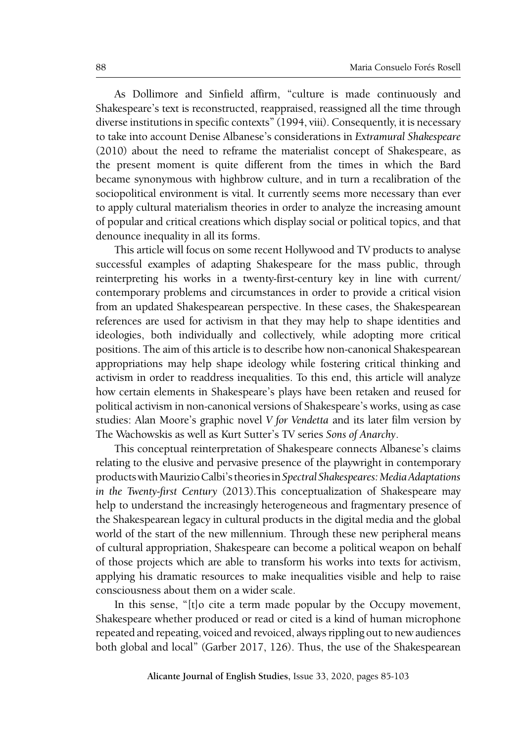As Dollimore and Sinfield affirm, "culture is made continuously and Shakespeare's text is reconstructed, reappraised, reassigned all the time through diverse institutions in specific contexts" (1994, viii). Consequently, it is necessary to take into account Denise Albanese's considerations in *Extramural Shakespeare*  (2010) about the need to reframe the materialist concept of Shakespeare, as the present moment is quite different from the times in which the Bard became synonymous with highbrow culture, and in turn a recalibration of the sociopolitical environment is vital. It currently seems more necessary than ever to apply cultural materialism theories in order to analyze the increasing amount of popular and critical creations which display social or political topics, and that denounce inequality in all its forms.

This article will focus on some recent Hollywood and TV products to analyse successful examples of adapting Shakespeare for the mass public, through reinterpreting his works in a twenty-first-century key in line with current/ contemporary problems and circumstances in order to provide a critical vision from an updated Shakespearean perspective. In these cases, the Shakespearean references are used for activism in that they may help to shape identities and ideologies, both individually and collectively, while adopting more critical positions. The aim of this article is to describe how non-canonical Shakespearean appropriations may help shape ideology while fostering critical thinking and activism in order to readdress inequalities. To this end, this article will analyze how certain elements in Shakespeare's plays have been retaken and reused for political activism in non-canonical versions of Shakespeare's works, using as case studies: Alan Moore's graphic novel *V for Vendetta* and its later film version by The Wachowskis as well as Kurt Sutter's TV series *Sons of Anarchy*.

This conceptual reinterpretation of Shakespeare connects Albanese's claims relating to the elusive and pervasive presence of the playwright in contemporary products with Maurizio Calbi's theories in *Spectral Shakespeares: Media Adaptations in the Twenty-first Century* (2013).This conceptualization of Shakespeare may help to understand the increasingly heterogeneous and fragmentary presence of the Shakespearean legacy in cultural products in the digital media and the global world of the start of the new millennium. Through these new peripheral means of cultural appropriation, Shakespeare can become a political weapon on behalf of those projects which are able to transform his works into texts for activism, applying his dramatic resources to make inequalities visible and help to raise consciousness about them on a wider scale.

In this sense, "[t]o cite a term made popular by the Occupy movement, Shakespeare whether produced or read or cited is a kind of human microphone repeated and repeating, voiced and revoiced, always rippling out to new audiences both global and local" (Garber 2017, 126). Thus, the use of the Shakespearean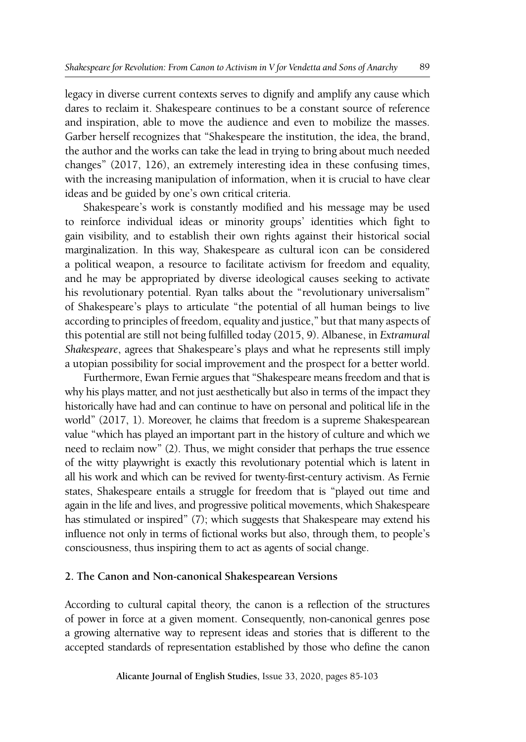legacy in diverse current contexts serves to dignify and amplify any cause which dares to reclaim it. Shakespeare continues to be a constant source of reference and inspiration, able to move the audience and even to mobilize the masses. Garber herself recognizes that "Shakespeare the institution, the idea, the brand, the author and the works can take the lead in trying to bring about much needed changes" (2017, 126), an extremely interesting idea in these confusing times, with the increasing manipulation of information, when it is crucial to have clear ideas and be guided by one's own critical criteria.

Shakespeare's work is constantly modified and his message may be used to reinforce individual ideas or minority groups' identities which fight to gain visibility, and to establish their own rights against their historical social marginalization. In this way, Shakespeare as cultural icon can be considered a political weapon, a resource to facilitate activism for freedom and equality, and he may be appropriated by diverse ideological causes seeking to activate his revolutionary potential. Ryan talks about the "revolutionary universalism" of Shakespeare's plays to articulate "the potential of all human beings to live according to principles of freedom, equality and justice," but that many aspects of this potential are still not being fulfilled today (2015, 9). Albanese, in *Extramural Shakespeare*, agrees that Shakespeare's plays and what he represents still imply a utopian possibility for social improvement and the prospect for a better world.

Furthermore, Ewan Fernie argues that "Shakespeare means freedom and that is why his plays matter, and not just aesthetically but also in terms of the impact they historically have had and can continue to have on personal and political life in the world" (2017, 1). Moreover, he claims that freedom is a supreme Shakespearean value "which has played an important part in the history of culture and which we need to reclaim now" (2). Thus, we might consider that perhaps the true essence of the witty playwright is exactly this revolutionary potential which is latent in all his work and which can be revived for twenty-first-century activism. As Fernie states, Shakespeare entails a struggle for freedom that is "played out time and again in the life and lives, and progressive political movements, which Shakespeare has stimulated or inspired" (7); which suggests that Shakespeare may extend his influence not only in terms of fictional works but also, through them, to people's consciousness, thus inspiring them to act as agents of social change.

#### **2. The Canon and Non-canonical Shakespearean Versions**

According to cultural capital theory, the canon is a reflection of the structures of power in force at a given moment. Consequently, non-canonical genres pose a growing alternative way to represent ideas and stories that is different to the accepted standards of representation established by those who define the canon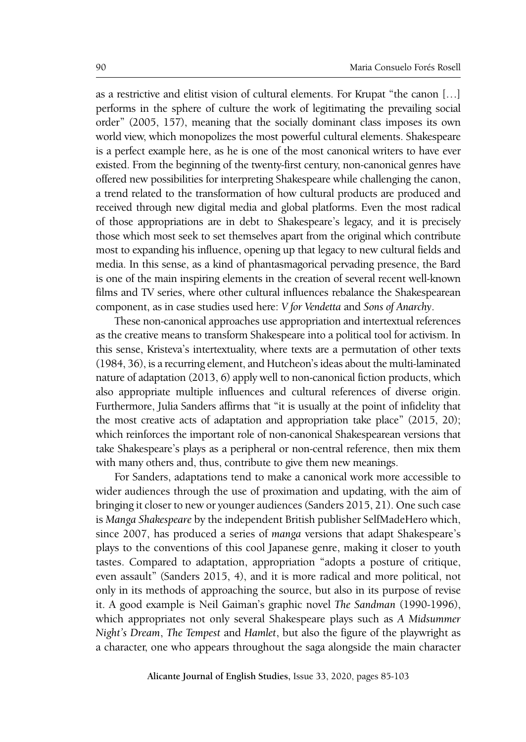as a restrictive and elitist vision of cultural elements. For Krupat "the canon […] performs in the sphere of culture the work of legitimating the prevailing social order" (2005, 157), meaning that the socially dominant class imposes its own world view, which monopolizes the most powerful cultural elements. Shakespeare is a perfect example here, as he is one of the most canonical writers to have ever existed. From the beginning of the twenty-first century, non-canonical genres have offered new possibilities for interpreting Shakespeare while challenging the canon, a trend related to the transformation of how cultural products are produced and received through new digital media and global platforms. Even the most radical of those appropriations are in debt to Shakespeare's legacy, and it is precisely those which most seek to set themselves apart from the original which contribute most to expanding his influence, opening up that legacy to new cultural fields and media. In this sense, as a kind of phantasmagorical pervading presence, the Bard is one of the main inspiring elements in the creation of several recent well-known films and TV series, where other cultural influences rebalance the Shakespearean component, as in case studies used here: *V for Vendetta* and *Sons of Anarchy*.

These non-canonical approaches use appropriation and intertextual references as the creative means to transform Shakespeare into a political tool for activism. In this sense, Kristeva's intertextuality, where texts are a permutation of other texts (1984, 36), is a recurring element, and Hutcheon's ideas about the multi-laminated nature of adaptation (2013, 6) apply well to non-canonical fiction products, which also appropriate multiple influences and cultural references of diverse origin. Furthermore, Julia Sanders affirms that "it is usually at the point of infidelity that the most creative acts of adaptation and appropriation take place" (2015, 20); which reinforces the important role of non-canonical Shakespearean versions that take Shakespeare's plays as a peripheral or non-central reference, then mix them with many others and, thus, contribute to give them new meanings.

For Sanders, adaptations tend to make a canonical work more accessible to wider audiences through the use of proximation and updating, with the aim of bringing it closer to new or younger audiences (Sanders 2015, 21). One such case is *Manga Shakespeare* by the independent British publisher SelfMadeHero which, since 2007, has produced a series of *manga* versions that adapt Shakespeare's plays to the conventions of this cool Japanese genre, making it closer to youth tastes. Compared to adaptation, appropriation "adopts a posture of critique, even assault" (Sanders 2015, 4), and it is more radical and more political, not only in its methods of approaching the source, but also in its purpose of revise it. A good example is Neil Gaiman's graphic novel *The Sandman* (1990-1996), which appropriates not only several Shakespeare plays such as *A Midsummer Night's Dream*, *The Tempest* and *Hamlet*, but also the figure of the playwright as a character, one who appears throughout the saga alongside the main character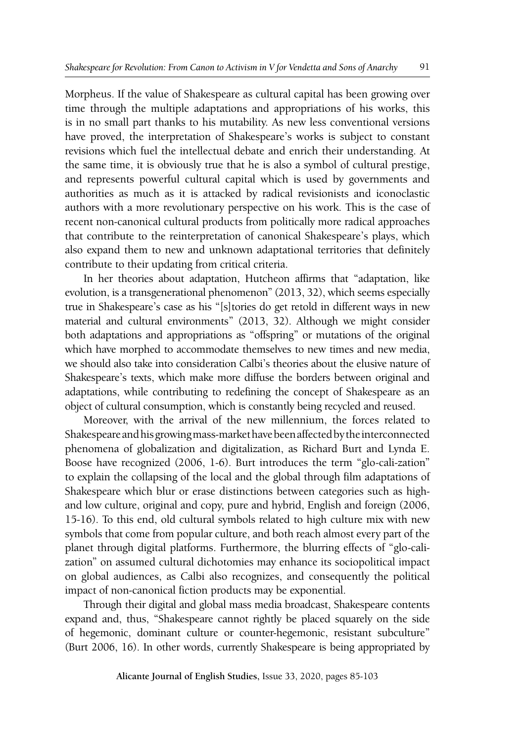Morpheus. If the value of Shakespeare as cultural capital has been growing over time through the multiple adaptations and appropriations of his works, this is in no small part thanks to his mutability. As new less conventional versions have proved, the interpretation of Shakespeare's works is subject to constant revisions which fuel the intellectual debate and enrich their understanding. At the same time, it is obviously true that he is also a symbol of cultural prestige, and represents powerful cultural capital which is used by governments and authorities as much as it is attacked by radical revisionists and iconoclastic authors with a more revolutionary perspective on his work. This is the case of recent non-canonical cultural products from politically more radical approaches that contribute to the reinterpretation of canonical Shakespeare's plays, which also expand them to new and unknown adaptational territories that definitely contribute to their updating from critical criteria.

In her theories about adaptation, Hutcheon affirms that "adaptation, like evolution, is a transgenerational phenomenon" (2013, 32), which seems especially true in Shakespeare's case as his "[s]tories do get retold in different ways in new material and cultural environments" (2013, 32). Although we might consider both adaptations and appropriations as "offspring" or mutations of the original which have morphed to accommodate themselves to new times and new media, we should also take into consideration Calbi's theories about the elusive nature of Shakespeare's texts, which make more diffuse the borders between original and adaptations, while contributing to redefining the concept of Shakespeare as an object of cultural consumption, which is constantly being recycled and reused.

Moreover, with the arrival of the new millennium, the forces related to Shakespeare and his growing mass-market have been affected by the interconnected phenomena of globalization and digitalization, as Richard Burt and Lynda E. Boose have recognized (2006, 1-6). Burt introduces the term "glo-cali-zation" to explain the collapsing of the local and the global through film adaptations of Shakespeare which blur or erase distinctions between categories such as highand low culture, original and copy, pure and hybrid, English and foreign (2006, 15-16). To this end, old cultural symbols related to high culture mix with new symbols that come from popular culture, and both reach almost every part of the planet through digital platforms. Furthermore, the blurring effects of "glo-calization" on assumed cultural dichotomies may enhance its sociopolitical impact on global audiences, as Calbi also recognizes, and consequently the political impact of non-canonical fiction products may be exponential.

Through their digital and global mass media broadcast, Shakespeare contents expand and, thus, "Shakespeare cannot rightly be placed squarely on the side of hegemonic, dominant culture or counter-hegemonic, resistant subculture" (Burt 2006, 16). In other words, currently Shakespeare is being appropriated by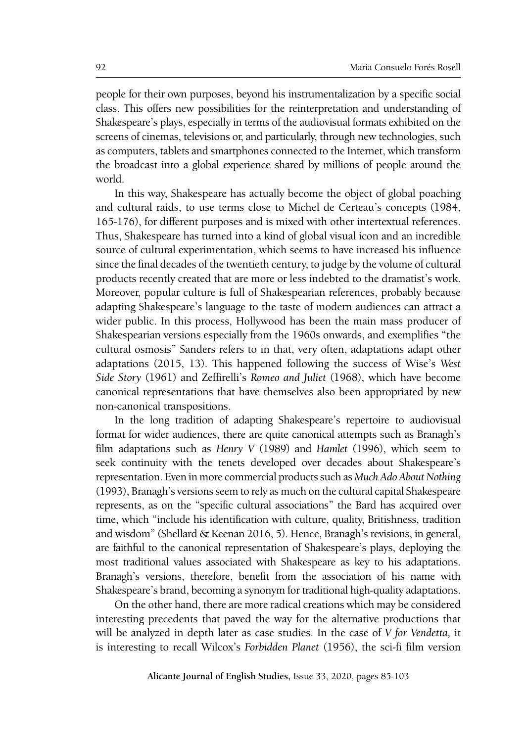people for their own purposes, beyond his instrumentalization by a specific social class. This offers new possibilities for the reinterpretation and understanding of Shakespeare's plays, especially in terms of the audiovisual formats exhibited on the screens of cinemas, televisions or, and particularly, through new technologies, such as computers, tablets and smartphones connected to the Internet, which transform the broadcast into a global experience shared by millions of people around the world.

In this way, Shakespeare has actually become the object of global poaching and cultural raids, to use terms close to Michel de Certeau's concepts (1984, 165-176), for different purposes and is mixed with other intertextual references. Thus, Shakespeare has turned into a kind of global visual icon and an incredible source of cultural experimentation, which seems to have increased his influence since the final decades of the twentieth century, to judge by the volume of cultural products recently created that are more or less indebted to the dramatist's work. Moreover, popular culture is full of Shakespearian references, probably because adapting Shakespeare's language to the taste of modern audiences can attract a wider public. In this process, Hollywood has been the main mass producer of Shakespearian versions especially from the 1960s onwards, and exemplifies "the cultural osmosis" Sanders refers to in that, very often, adaptations adapt other adaptations (2015, 13). This happened following the success of Wise's *West Side Story* (1961) and Zeffirelli's *Romeo and Juliet* (1968), which have become canonical representations that have themselves also been appropriated by new non-canonical transpositions.

In the long tradition of adapting Shakespeare's repertoire to audiovisual format for wider audiences, there are quite canonical attempts such as Branagh's film adaptations such as *Henry V* (1989) and *Hamlet* (1996), which seem to seek continuity with the tenets developed over decades about Shakespeare's representation. Even in more commercial products such as *Much Ado About Nothing*  (1993), Branagh's versions seem to rely as much on the cultural capital Shakespeare represents, as on the "specific cultural associations" the Bard has acquired over time, which "include his identification with culture, quality, Britishness, tradition and wisdom" (Shellard & Keenan 2016, 5). Hence, Branagh's revisions, in general, are faithful to the canonical representation of Shakespeare's plays, deploying the most traditional values associated with Shakespeare as key to his adaptations. Branagh's versions, therefore, benefit from the association of his name with Shakespeare's brand, becoming a synonym for traditional high-quality adaptations.

On the other hand, there are more radical creations which may be considered interesting precedents that paved the way for the alternative productions that will be analyzed in depth later as case studies. In the case of *V for Vendetta,* it is interesting to recall Wilcox's *Forbidden Planet* (1956), the sci-fi film version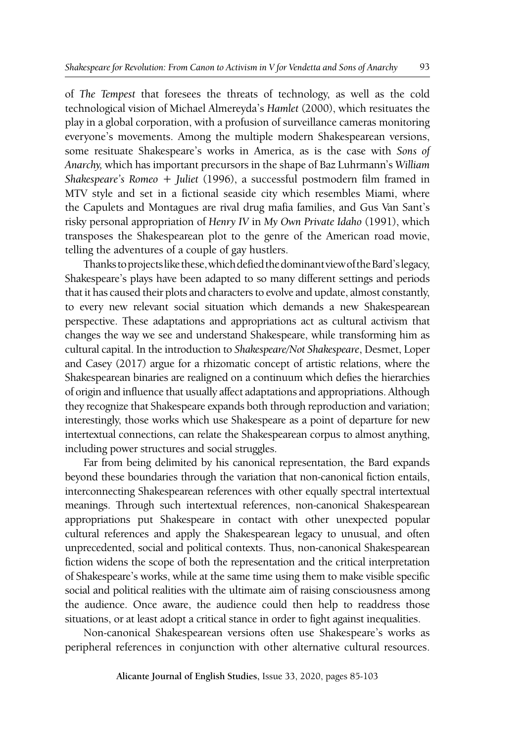of *The Tempest* that foresees the threats of technology, as well as the cold technological vision of Michael Almereyda's *Hamlet* (2000), which resituates the play in a global corporation, with a profusion of surveillance cameras monitoring everyone's movements. Among the multiple modern Shakespearean versions, some resituate Shakespeare's works in America, as is the case with *Sons of Anarchy,* which has important precursors in the shape of Baz Luhrmann's *William Shakespeare's Romeo + Juliet* (1996), a successful postmodern film framed in MTV style and set in a fictional seaside city which resembles Miami, where the Capulets and Montagues are rival drug mafia families, and Gus Van Sant's risky personal appropriation of *Henry IV* in *My Own Private Idaho* (1991), which transposes the Shakespearean plot to the genre of the American road movie, telling the adventures of a couple of gay hustlers.

Thanks to projects like these, which defied the dominant view of the Bard's legacy, Shakespeare's plays have been adapted to so many different settings and periods that it has caused their plots and characters to evolve and update, almost constantly, to every new relevant social situation which demands a new Shakespearean perspective. These adaptations and appropriations act as cultural activism that changes the way we see and understand Shakespeare, while transforming him as cultural capital. In the introduction to *Shakespeare/Not Shakespeare*, Desmet, Loper and Casey (2017) argue for a rhizomatic concept of artistic relations, where the Shakespearean binaries are realigned on a continuum which defies the hierarchies of origin and influence that usually affect adaptations and appropriations. Although they recognize that Shakespeare expands both through reproduction and variation; interestingly, those works which use Shakespeare as a point of departure for new intertextual connections, can relate the Shakespearean corpus to almost anything, including power structures and social struggles.

Far from being delimited by his canonical representation, the Bard expands beyond these boundaries through the variation that non-canonical fiction entails, interconnecting Shakespearean references with other equally spectral intertextual meanings. Through such intertextual references, non-canonical Shakespearean appropriations put Shakespeare in contact with other unexpected popular cultural references and apply the Shakespearean legacy to unusual, and often unprecedented, social and political contexts. Thus, non-canonical Shakespearean fiction widens the scope of both the representation and the critical interpretation of Shakespeare's works, while at the same time using them to make visible specific social and political realities with the ultimate aim of raising consciousness among the audience. Once aware, the audience could then help to readdress those situations, or at least adopt a critical stance in order to fight against inequalities.

Non-canonical Shakespearean versions often use Shakespeare's works as peripheral references in conjunction with other alternative cultural resources.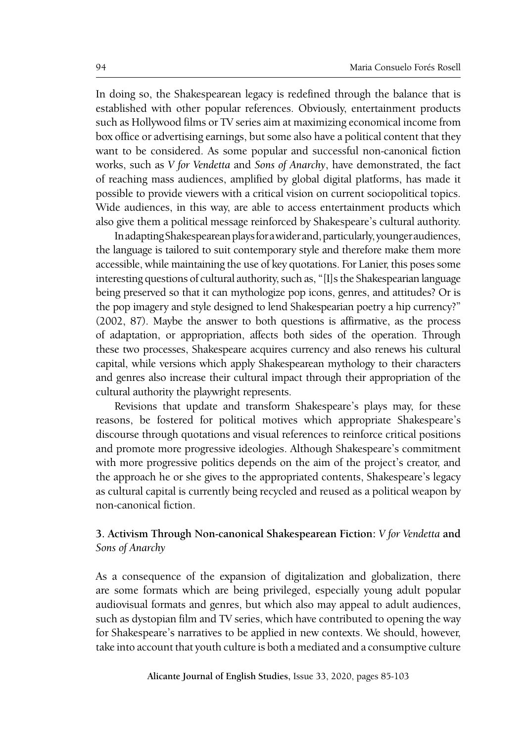In doing so, the Shakespearean legacy is redefined through the balance that is established with other popular references. Obviously, entertainment products such as Hollywood films or TV series aim at maximizing economical income from box office or advertising earnings, but some also have a political content that they want to be considered. As some popular and successful non-canonical fiction works, such as *V for Vendetta* and *Sons of Anarchy*, have demonstrated, the fact of reaching mass audiences, amplified by global digital platforms, has made it possible to provide viewers with a critical vision on current sociopolitical topics. Wide audiences, in this way, are able to access entertainment products which also give them a political message reinforced by Shakespeare's cultural authority.

In adapting Shakespearean plays for a wider and, particularly, younger audiences, the language is tailored to suit contemporary style and therefore make them more accessible, while maintaining the use of key quotations. For Lanier, this poses some interesting questions of cultural authority, such as, "[I]s the Shakespearian language being preserved so that it can mythologize pop icons, genres, and attitudes? Or is the pop imagery and style designed to lend Shakespearian poetry a hip currency?" (2002, 87). Maybe the answer to both questions is affirmative, as the process of adaptation, or appropriation, affects both sides of the operation. Through these two processes, Shakespeare acquires currency and also renews his cultural capital, while versions which apply Shakespearean mythology to their characters and genres also increase their cultural impact through their appropriation of the cultural authority the playwright represents.

Revisions that update and transform Shakespeare's plays may, for these reasons, be fostered for political motives which appropriate Shakespeare's discourse through quotations and visual references to reinforce critical positions and promote more progressive ideologies. Although Shakespeare's commitment with more progressive politics depends on the aim of the project's creator, and the approach he or she gives to the appropriated contents, Shakespeare's legacy as cultural capital is currently being recycled and reused as a political weapon by non-canonical fiction.

# **3. Activism Through Non-canonical Shakespearean Fiction:** *V for Vendetta* **and**  *Sons of Anarchy*

As a consequence of the expansion of digitalization and globalization, there are some formats which are being privileged, especially young adult popular audiovisual formats and genres, but which also may appeal to adult audiences, such as dystopian film and TV series, which have contributed to opening the way for Shakespeare's narratives to be applied in new contexts. We should, however, take into account that youth culture is both a mediated and a consumptive culture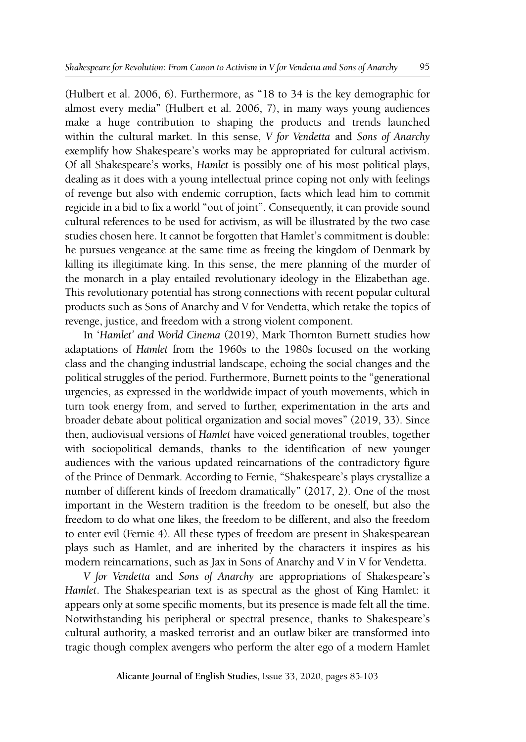(Hulbert et al. 2006, 6). Furthermore, as "18 to 34 is the key demographic for almost every media" (Hulbert et al. 2006, 7), in many ways young audiences make a huge contribution to shaping the products and trends launched within the cultural market. In this sense, *V for Vendetta* and *Sons of Anarchy* exemplify how Shakespeare's works may be appropriated for cultural activism. Of all Shakespeare's works, *Hamlet* is possibly one of his most political plays, dealing as it does with a young intellectual prince coping not only with feelings of revenge but also with endemic corruption, facts which lead him to commit regicide in a bid to fix a world "out of joint". Consequently, it can provide sound cultural references to be used for activism, as will be illustrated by the two case studies chosen here. It cannot be forgotten that Hamlet's commitment is double: he pursues vengeance at the same time as freeing the kingdom of Denmark by killing its illegitimate king. In this sense, the mere planning of the murder of the monarch in a play entailed revolutionary ideology in the Elizabethan age. This revolutionary potential has strong connections with recent popular cultural products such as Sons of Anarchy and V for Vendetta, which retake the topics of revenge, justice, and freedom with a strong violent component.

In '*Hamlet' and World Cinema* (2019), Mark Thornton Burnett studies how adaptations of *Hamlet* from the 1960s to the 1980s focused on the working class and the changing industrial landscape, echoing the social changes and the political struggles of the period. Furthermore, Burnett points to the "generational urgencies, as expressed in the worldwide impact of youth movements, which in turn took energy from, and served to further, experimentation in the arts and broader debate about political organization and social moves" (2019, 33). Since then, audiovisual versions of *Hamlet* have voiced generational troubles, together with sociopolitical demands, thanks to the identification of new younger audiences with the various updated reincarnations of the contradictory figure of the Prince of Denmark. According to Fernie, "Shakespeare's plays crystallize a number of different kinds of freedom dramatically" (2017, 2). One of the most important in the Western tradition is the freedom to be oneself, but also the freedom to do what one likes, the freedom to be different, and also the freedom to enter evil (Fernie 4). All these types of freedom are present in Shakespearean plays such as Hamlet, and are inherited by the characters it inspires as his modern reincarnations, such as Jax in Sons of Anarchy and V in V for Vendetta.

*V for Vendetta* and *Sons of Anarchy* are appropriations of Shakespeare's *Hamlet*. The Shakespearian text is as spectral as the ghost of King Hamlet: it appears only at some specific moments, but its presence is made felt all the time. Notwithstanding his peripheral or spectral presence, thanks to Shakespeare's cultural authority, a masked terrorist and an outlaw biker are transformed into tragic though complex avengers who perform the alter ego of a modern Hamlet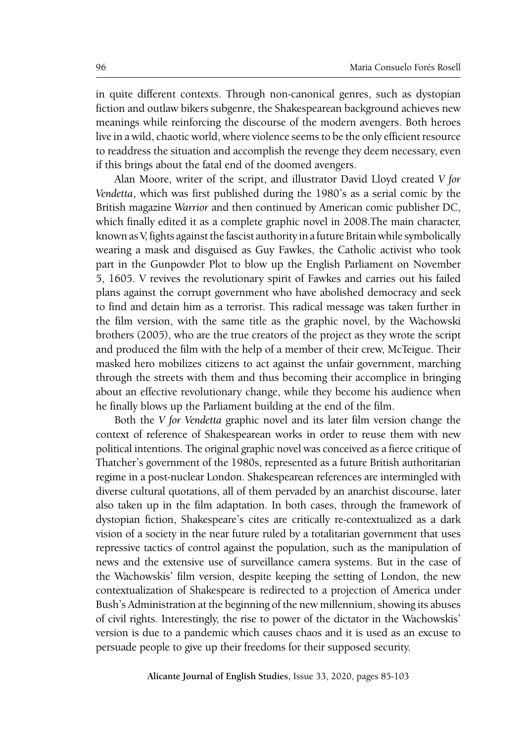in quite different contexts. Through non-canonical genres, such as dystopian fiction and outlaw bikers subgenre, the Shakespearean background achieves new meanings while reinforcing the discourse of the modern avengers. Both heroes live in a wild, chaotic world, where violence seems to be the only efficient resource to readdress the situation and accomplish the revenge they deem necessary, even if this brings about the fatal end of the doomed avengers.

Alan Moore, writer of the script, and illustrator David Lloyd created *V for Vendetta*, which was first published during the 1980's as a serial comic by the British magazine *Warrior* and then continued by American comic publisher DC, which finally edited it as a complete graphic novel in 2008.The main character, known as V, fights against the fascist authority in a future Britain while symbolically wearing a mask and disguised as Guy Fawkes, the Catholic activist who took part in the Gunpowder Plot to blow up the English Parliament on November 5, 1605. V revives the revolutionary spirit of Fawkes and carries out his failed plans against the corrupt government who have abolished democracy and seek to find and detain him as a terrorist. This radical message was taken further in the film version, with the same title as the graphic novel, by the Wachowski brothers (2005), who are the true creators of the project as they wrote the script and produced the film with the help of a member of their crew, McTeigue. Their masked hero mobilizes citizens to act against the unfair government, marching through the streets with them and thus becoming their accomplice in bringing about an effective revolutionary change, while they become his audience when he finally blows up the Parliament building at the end of the film.

Both the *V for Vendetta* graphic novel and its later film version change the context of reference of Shakespearean works in order to reuse them with new political intentions. The original graphic novel was conceived as a fierce critique of Thatcher's government of the 1980s, represented as a future British authoritarian regime in a post-nuclear London. Shakespearean references are intermingled with diverse cultural quotations, all of them pervaded by an anarchist discourse, later also taken up in the film adaptation. In both cases, through the framework of dystopian fiction, Shakespeare's cites are critically re-contextualized as a dark vision of a society in the near future ruled by a totalitarian government that uses repressive tactics of control against the population, such as the manipulation of news and the extensive use of surveillance camera systems. But in the case of the Wachowskis' film version, despite keeping the setting of London, the new contextualization of Shakespeare is redirected to a projection of America under Bush's Administration at the beginning of the new millennium, showing its abuses of civil rights. Interestingly, the rise to power of the dictator in the Wachowskis' version is due to a pandemic which causes chaos and it is used as an excuse to persuade people to give up their freedoms for their supposed security.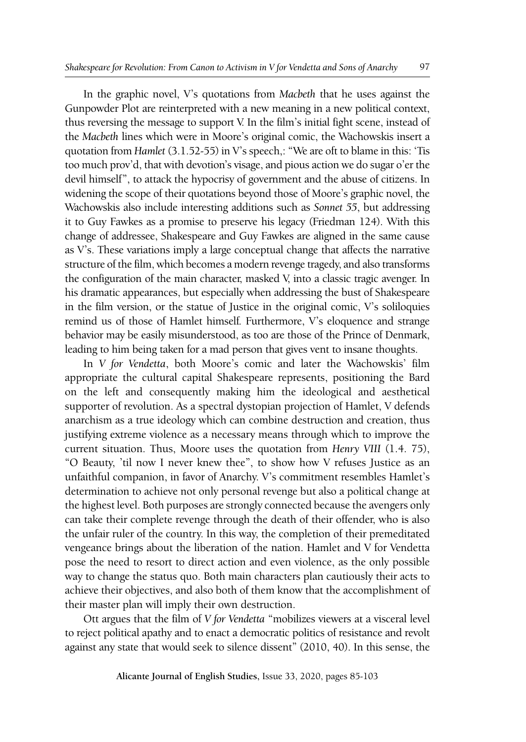In the graphic novel, V's quotations from *Macbeth* that he uses against the Gunpowder Plot are reinterpreted with a new meaning in a new political context, thus reversing the message to support V. In the film's initial fight scene, instead of the *Macbeth* lines which were in Moore's original comic, the Wachowskis insert a quotation from *Hamlet* (3.1.52-55) in V's speech,: "We are oft to blame in this: 'Tis too much prov'd, that with devotion's visage, and pious action we do sugar o'er the devil himself", to attack the hypocrisy of government and the abuse of citizens. In widening the scope of their quotations beyond those of Moore's graphic novel, the Wachowskis also include interesting additions such as *Sonnet 55*, but addressing it to Guy Fawkes as a promise to preserve his legacy (Friedman 124). With this change of addressee, Shakespeare and Guy Fawkes are aligned in the same cause as V's. These variations imply a large conceptual change that affects the narrative structure of the film, which becomes a modern revenge tragedy, and also transforms the configuration of the main character, masked V, into a classic tragic avenger. In his dramatic appearances, but especially when addressing the bust of Shakespeare in the film version, or the statue of Justice in the original comic, V's soliloquies remind us of those of Hamlet himself. Furthermore, V's eloquence and strange behavior may be easily misunderstood, as too are those of the Prince of Denmark, leading to him being taken for a mad person that gives vent to insane thoughts.

In *V for Vendetta*, both Moore's comic and later the Wachowskis' film appropriate the cultural capital Shakespeare represents, positioning the Bard on the left and consequently making him the ideological and aesthetical supporter of revolution. As a spectral dystopian projection of Hamlet, V defends anarchism as a true ideology which can combine destruction and creation, thus justifying extreme violence as a necessary means through which to improve the current situation. Thus, Moore uses the quotation from *Henry VIII* (1.4. 75), "O Beauty, 'til now I never knew thee", to show how V refuses Justice as an unfaithful companion, in favor of Anarchy. V's commitment resembles Hamlet's determination to achieve not only personal revenge but also a political change at the highest level. Both purposes are strongly connected because the avengers only can take their complete revenge through the death of their offender, who is also the unfair ruler of the country. In this way, the completion of their premeditated vengeance brings about the liberation of the nation. Hamlet and V for Vendetta pose the need to resort to direct action and even violence, as the only possible way to change the status quo. Both main characters plan cautiously their acts to achieve their objectives, and also both of them know that the accomplishment of their master plan will imply their own destruction.

Ott argues that the film of *V for Vendetta* "mobilizes viewers at a visceral level to reject political apathy and to enact a democratic politics of resistance and revolt against any state that would seek to silence dissent" (2010, 40). In this sense, the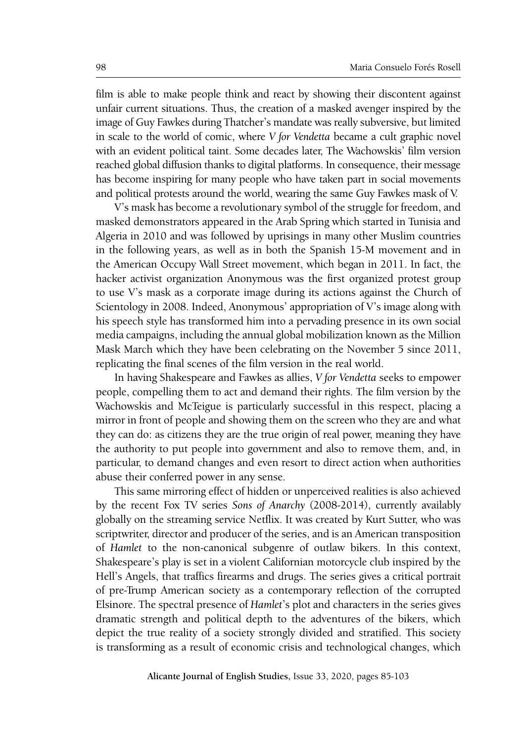film is able to make people think and react by showing their discontent against unfair current situations. Thus, the creation of a masked avenger inspired by the image of Guy Fawkes during Thatcher's mandate was really subversive, but limited in scale to the world of comic, where *V for Vendetta* became a cult graphic novel with an evident political taint. Some decades later, The Wachowskis' film version reached global diffusion thanks to digital platforms. In consequence, their message has become inspiring for many people who have taken part in social movements and political protests around the world, wearing the same Guy Fawkes mask of V.

V's mask has become a revolutionary symbol of the struggle for freedom, and masked demonstrators appeared in the Arab Spring which started in Tunisia and Algeria in 2010 and was followed by uprisings in many other Muslim countries in the following years, as well as in both the Spanish 15-M movement and in the American Occupy Wall Street movement, which began in 2011. In fact, the hacker activist organization Anonymous was the first organized protest group to use V's mask as a corporate image during its actions against the Church of Scientology in 2008. Indeed, Anonymous' appropriation of V's image along with his speech style has transformed him into a pervading presence in its own social media campaigns, including the annual global mobilization known as the Million Mask March which they have been celebrating on the November 5 since 2011, replicating the final scenes of the film version in the real world.

In having Shakespeare and Fawkes as allies, *V for Vendetta* seeks to empower people, compelling them to act and demand their rights. The film version by the Wachowskis and McTeigue is particularly successful in this respect, placing a mirror in front of people and showing them on the screen who they are and what they can do: as citizens they are the true origin of real power, meaning they have the authority to put people into government and also to remove them, and, in particular, to demand changes and even resort to direct action when authorities abuse their conferred power in any sense.

This same mirroring effect of hidden or unperceived realities is also achieved by the recent Fox TV series *Sons of Anarchy* (2008-2014), currently availably globally on the streaming service Netflix. It was created by Kurt Sutter, who was scriptwriter, director and producer of the series, and is an American transposition of *Hamlet* to the non-canonical subgenre of outlaw bikers. In this context, Shakespeare's play is set in a violent Californian motorcycle club inspired by the Hell's Angels, that traffics firearms and drugs. The series gives a critical portrait of pre-Trump American society as a contemporary reflection of the corrupted Elsinore. The spectral presence of *Hamlet*'s plot and characters in the series gives dramatic strength and political depth to the adventures of the bikers, which depict the true reality of a society strongly divided and stratified. This society is transforming as a result of economic crisis and technological changes, which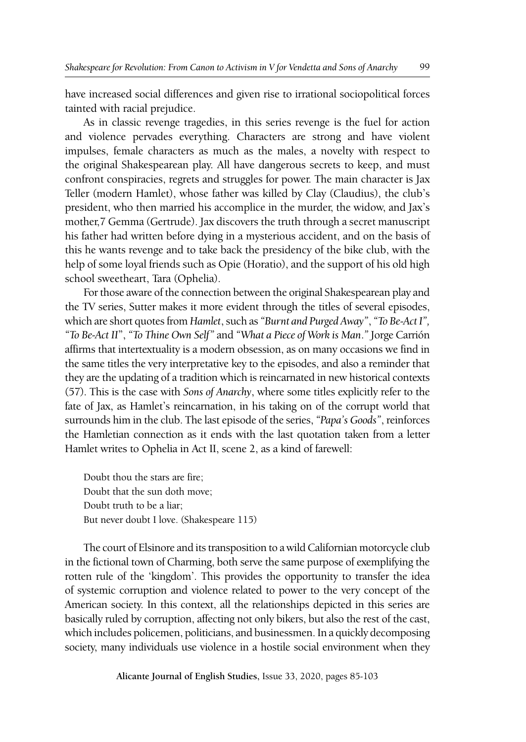have increased social differences and given rise to irrational sociopolitical forces tainted with racial prejudice.

As in classic revenge tragedies, in this series revenge is the fuel for action and violence pervades everything. Characters are strong and have violent impulses, female characters as much as the males, a novelty with respect to the original Shakespearean play. All have dangerous secrets to keep, and must confront conspiracies, regrets and struggles for power. The main character is Jax Teller (modern Hamlet), whose father was killed by Clay (Claudius), the club's president, who then married his accomplice in the murder, the widow, and Jax's mother,7 Gemma (Gertrude). Jax discovers the truth through a secret manuscript his father had written before dying in a mysterious accident, and on the basis of this he wants revenge and to take back the presidency of the bike club, with the help of some loyal friends such as Opie (Horatio), and the support of his old high school sweetheart, Tara (Ophelia).

For those aware of the connection between the original Shakespearean play and the TV series, Sutter makes it more evident through the titles of several episodes, which are short quotes from *Hamlet*, such as *"Burnt and Purged Away"*, *"To Be*-*Act I", "To Be-Act II*", *"To Thine Own Self"* and *"What a Piece of Work is Man*.*"* Jorge Carrión affirms that intertextuality is a modern obsession, as on many occasions we find in the same titles the very interpretative key to the episodes, and also a reminder that they are the updating of a tradition which is reincarnated in new historical contexts (57). This is the case with *Sons of Anarchy*, where some titles explicitly refer to the fate of Jax, as Hamlet's reincarnation, in his taking on of the corrupt world that surrounds him in the club. The last episode of the series, *"Papa's Goods"*, reinforces the Hamletian connection as it ends with the last quotation taken from a letter Hamlet writes to Ophelia in Act II, scene 2, as a kind of farewell:

Doubt thou the stars are fire; Doubt that the sun doth move; Doubt truth to be a liar; But never doubt I love. (Shakespeare 115)

The court of Elsinore and its transposition to a wild Californian motorcycle club in the fictional town of Charming, both serve the same purpose of exemplifying the rotten rule of the 'kingdom'. This provides the opportunity to transfer the idea of systemic corruption and violence related to power to the very concept of the American society. In this context, all the relationships depicted in this series are basically ruled by corruption, affecting not only bikers, but also the rest of the cast, which includes policemen, politicians, and businessmen. In a quickly decomposing society, many individuals use violence in a hostile social environment when they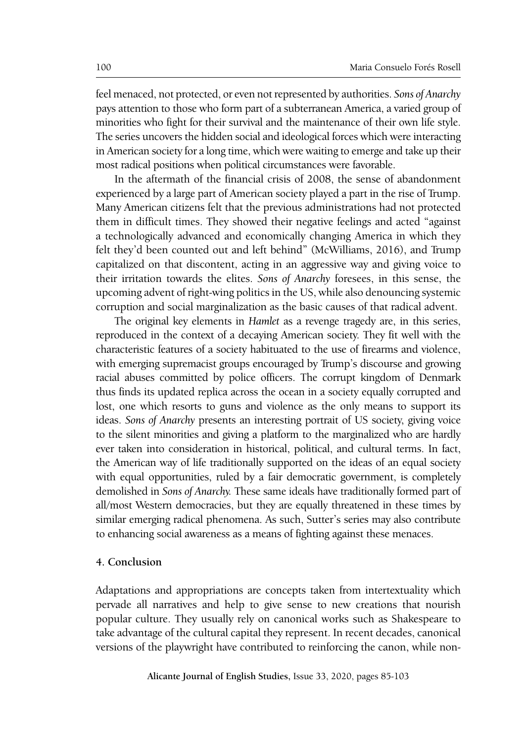feel menaced, not protected, or even not represented by authorities. *Sons of Anarchy* pays attention to those who form part of a subterranean America, a varied group of minorities who fight for their survival and the maintenance of their own life style. The series uncovers the hidden social and ideological forces which were interacting in American society for a long time, which were waiting to emerge and take up their most radical positions when political circumstances were favorable.

In the aftermath of the financial crisis of 2008, the sense of abandonment experienced by a large part of American society played a part in the rise of Trump. Many American citizens felt that the previous administrations had not protected them in difficult times. They showed their negative feelings and acted "against a technologically advanced and economically changing America in which they felt they'd been counted out and left behind" (McWilliams, 2016), and Trump capitalized on that discontent, acting in an aggressive way and giving voice to their irritation towards the elites. *Sons of Anarchy* foresees, in this sense, the upcoming advent of right-wing politics in the US, while also denouncing systemic corruption and social marginalization as the basic causes of that radical advent.

The original key elements in *Hamlet* as a revenge tragedy are, in this series, reproduced in the context of a decaying American society. They fit well with the characteristic features of a society habituated to the use of firearms and violence, with emerging supremacist groups encouraged by Trump's discourse and growing racial abuses committed by police officers. The corrupt kingdom of Denmark thus finds its updated replica across the ocean in a society equally corrupted and lost, one which resorts to guns and violence as the only means to support its ideas. *Sons of Anarchy* presents an interesting portrait of US society, giving voice to the silent minorities and giving a platform to the marginalized who are hardly ever taken into consideration in historical, political, and cultural terms. In fact, the American way of life traditionally supported on the ideas of an equal society with equal opportunities, ruled by a fair democratic government, is completely demolished in *Sons of Anarchy.* These same ideals have traditionally formed part of all/most Western democracies, but they are equally threatened in these times by similar emerging radical phenomena. As such, Sutter's series may also contribute to enhancing social awareness as a means of fighting against these menaces.

## **4. Conclusion**

Adaptations and appropriations are concepts taken from intertextuality which pervade all narratives and help to give sense to new creations that nourish popular culture. They usually rely on canonical works such as Shakespeare to take advantage of the cultural capital they represent. In recent decades, canonical versions of the playwright have contributed to reinforcing the canon, while non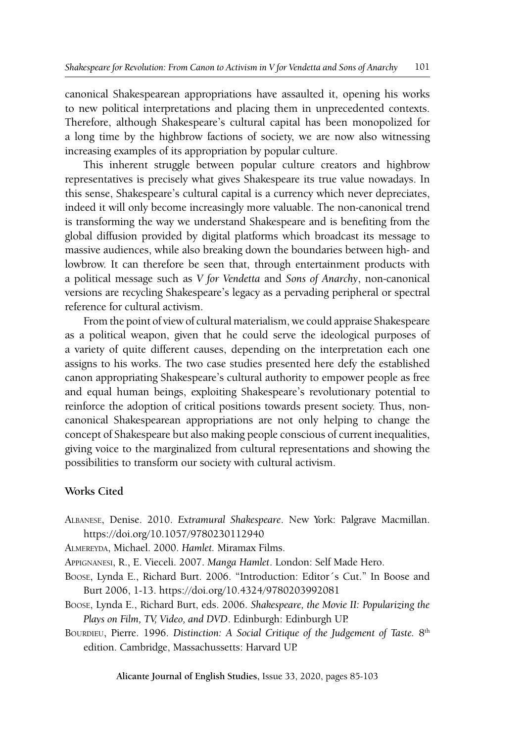canonical Shakespearean appropriations have assaulted it, opening his works to new political interpretations and placing them in unprecedented contexts. Therefore, although Shakespeare's cultural capital has been monopolized for a long time by the highbrow factions of society, we are now also witnessing increasing examples of its appropriation by popular culture.

This inherent struggle between popular culture creators and highbrow representatives is precisely what gives Shakespeare its true value nowadays. In this sense, Shakespeare's cultural capital is a currency which never depreciates, indeed it will only become increasingly more valuable. The non-canonical trend is transforming the way we understand Shakespeare and is benefiting from the global diffusion provided by digital platforms which broadcast its message to massive audiences, while also breaking down the boundaries between high- and lowbrow. It can therefore be seen that, through entertainment products with a political message such as *V for Vendetta* and *Sons of Anarchy*, non-canonical versions are recycling Shakespeare's legacy as a pervading peripheral or spectral reference for cultural activism.

From the point of view of cultural materialism, we could appraise Shakespeare as a political weapon, given that he could serve the ideological purposes of a variety of quite different causes, depending on the interpretation each one assigns to his works. The two case studies presented here defy the established canon appropriating Shakespeare's cultural authority to empower people as free and equal human beings, exploiting Shakespeare's revolutionary potential to reinforce the adoption of critical positions towards present society. Thus, noncanonical Shakespearean appropriations are not only helping to change the concept of Shakespeare but also making people conscious of current inequalities, giving voice to the marginalized from cultural representations and showing the possibilities to transform our society with cultural activism.

## **Works Cited**

- Albanese, Denise. 2010. *Extramural Shakespeare*. New York: Palgrave Macmillan. https://doi.org/10.1057/9780230112940
- Almereyda, Michael. 2000. *Hamlet.* Miramax Films.

Appignanesi, R., E. Vieceli. 2007. *Manga Hamlet*. London: Self Made Hero.

- Boose, Lynda E., Richard Burt. 2006. "Introduction: Editor´s Cut." In Boose and Burt 2006, 1-13. https://doi.org/10.4324/9780203992081
- Boose, Lynda E., Richard Burt, eds. 2006. *Shakespeare, the Movie II: Popularizing the Plays on Film, TV, Video, and DVD*. Edinburgh: Edinburgh UP.
- BOURDIEU, Pierre. 1996. *Distinction: A Social Critique of the Judgement of Taste*. 8<sup>th</sup> edition. Cambridge, Massachussetts: Harvard UP.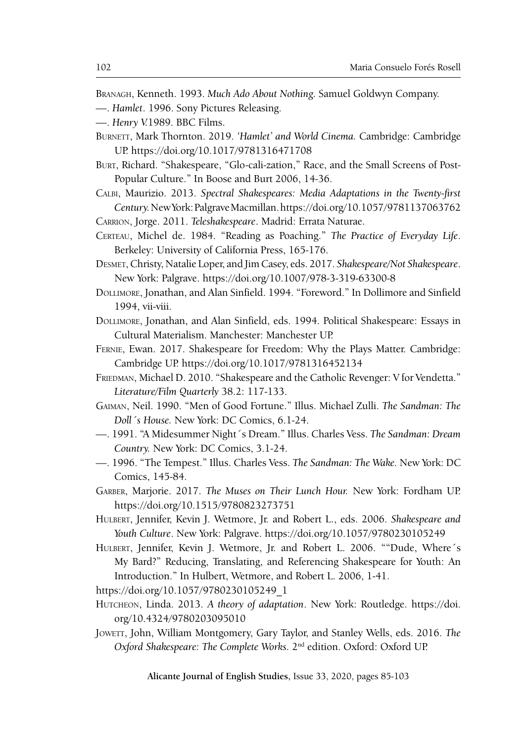Branagh, Kenneth. 1993. *Much Ado About Nothing.* Samuel Goldwyn Company.

- —. *Hamlet*. 1996. Sony Pictures Releasing.
- —. *Henry V.*1989. BBC Films.
- BURNETT, Mark Thornton. 2019. 'Hamlet' and World Cinema. Cambridge: Cambridge UP. https://doi.org/10.1017/9781316471708
- Burt, Richard. "Shakespeare, "Glo-cali-zation," Race, and the Small Screens of Post-Popular Culture." In Boose and Burt 2006, 14-36.
- Calbi, Maurizio. 2013. *Spectral Shakespeares: Media Adaptations in the Twenty-first Century.* New York: Palgrave Macmillan. https://doi.org/10.1057/9781137063762

Carrion, Jorge. 2011. *Teleshakespeare*. Madrid: Errata Naturae.

- CERTEAU, Michel de. 1984. "Reading as Poaching." *The Practice of Everyday Life*. Berkeley: University of California Press, 165-176.
- Desmet, Christy, Natalie Loper, and Jim Casey, eds. 2017. *Shakespeare/Not Shakespeare*. New York: Palgrave. https://doi.org/10.1007/978-3-319-63300-8
- Dollimore, Jonathan, and Alan Sinfield. 1994. "Foreword." In Dollimore and Sinfield 1994, vii-viii.
- Dollimore, Jonathan, and Alan Sinfield, eds. 1994. Political Shakespeare: Essays in Cultural Materialism. Manchester: Manchester UP.
- Fernie, Ewan. 2017. Shakespeare for Freedom: Why the Plays Matter. Cambridge: Cambridge UP. https://doi.org/10.1017/9781316452134
- FRIEDMAN, Michael D. 2010. "Shakespeare and the Catholic Revenger: V for Vendetta." *Literature/Film Quarterly* 38.2: 117-133.
- Gaiman, Neil. 1990. "Men of Good Fortune." Illus. Michael Zulli. *The Sandman: The Doll´s House.* New York: DC Comics, 6.1-24.
- —. 1991. "A Midesummer Night´s Dream." Illus. Charles Vess. *The Sandman: Dream Country.* New York: DC Comics, 3.1-24.
- —. 1996. "The Tempest." Illus. Charles Vess. *The Sandman: The Wake.* New York: DC Comics, 145-84.
- Garber, Marjorie. 2017. *The Muses on Their Lunch Hour.* New York: Fordham UP. https://doi.org/10.1515/9780823273751
- Hulbert, Jennifer, Kevin J. Wetmore, Jr. and Robert L., eds. 2006. *Shakespeare and Youth Culture*. New York: Palgrave. https://doi.org/10.1057/9780230105249
- HULBERT, Jennifer, Kevin J. Wetmore, Jr. and Robert L. 2006. ""Dude, Where's My Bard?" Reducing, Translating, and Referencing Shakespeare for Youth: An Introduction." In Hulbert, Wetmore, and Robert L. 2006, 1-41.

https://doi.org/10.1057/9780230105249\_1

- Hutcheon, Linda. 2013. *A theory of adaptation*. New York: Routledge. https://doi. org/10.4324/9780203095010
- JOWETT, John, William Montgomery, Gary Taylor, and Stanley Wells, eds. 2016. The *Oxford Shakespeare: The Complete Works.* 2nd edition. Oxford: Oxford UP.